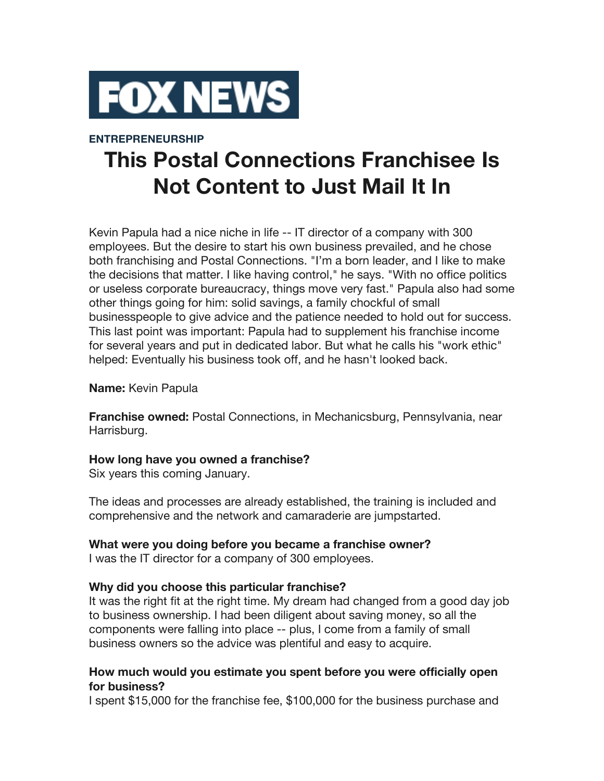

## **ENTREPRENEURSHIP**

# **This Postal Connections Franchisee Is Not Content to Just Mail It In**

Kevin Papula had a nice niche in life -- IT director of a company with 300 employees. But the desire to start his own business prevailed, and he chose both franchising and Postal Connections. "I'm a born leader, and I like to make the decisions that matter. I like having control," he says. "With no office politics or useless corporate bureaucracy, things move very fast." Papula also had some other things going for him: solid savings, a family chockful of small businesspeople to give advice and the patience needed to hold out for success. This last point was important: Papula had to supplement his franchise income for several years and put in dedicated labor. But what he calls his "work ethic" helped: Eventually his business took off, and he hasn't looked back.

#### **Name:** Kevin Papula

**Franchise owned:** Postal Connections, in Mechanicsburg, Pennsylvania, near Harrisburg.

#### **How long have you owned a franchise?**

Six years this coming January.

The ideas and processes are already established, the training is included and comprehensive and the network and camaraderie are jumpstarted.

# **What were you doing before you became a franchise owner?**

I was the IT director for a company of 300 employees.

# **Why did you choose this particular franchise?**

It was the right fit at the right time. My dream had changed from a good day job to business ownership. I had been diligent about saving money, so all the components were falling into place -- plus, I come from a family of small business owners so the advice was plentiful and easy to acquire.

## **How much would you estimate you spent before you were officially open for business?**

I spent \$15,000 for the franchise fee, \$100,000 for the business purchase and